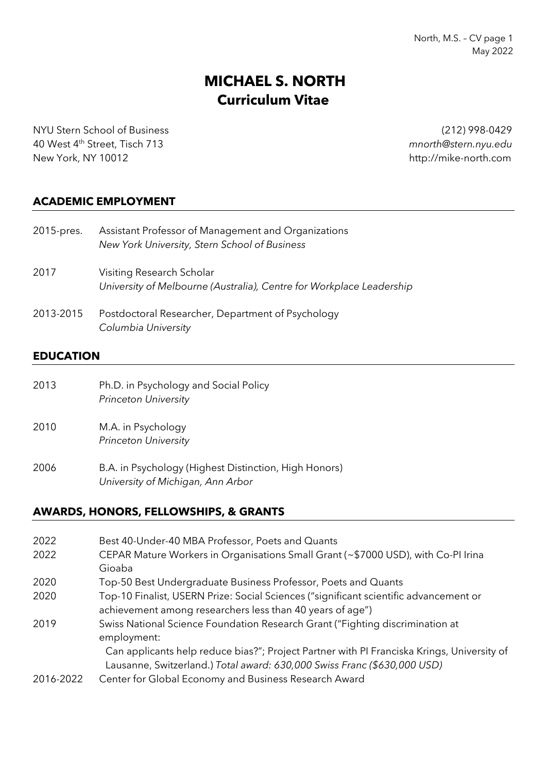North, M.S. – CV page 1 May 2022

# **MICHAEL S. NORTH Curriculum Vitae**

NYU Stern School of Business (212) 998-0429 40 West 4th Street, Tisch 713 *mnorth@stern.nyu.edu*

http://mike-north.com

### **ACADEMIC EMPLOYMENT**

| 2015-pres. | Assistant Professor of Management and Organizations<br>New York University, Stern School of Business |
|------------|------------------------------------------------------------------------------------------------------|
| 2017       | Visiting Research Scholar<br>University of Melbourne (Australia), Centre for Workplace Leadership    |
| 2013-2015  | Postdoctoral Researcher, Department of Psychology<br>Columbia University                             |

### **EDUCATION**

| 2013 | Ph.D. in Psychology and Social Policy<br><b>Princeton University</b>                       |
|------|--------------------------------------------------------------------------------------------|
| 2010 | M.A. in Psychology<br><b>Princeton University</b>                                          |
| 2006 | B.A. in Psychology (Highest Distinction, High Honors)<br>University of Michigan, Ann Arbor |

### **AWARDS, HONORS, FELLOWSHIPS, & GRANTS**

| 2022      | Best 40-Under-40 MBA Professor, Poets and Quants                                                                                                                       |
|-----------|------------------------------------------------------------------------------------------------------------------------------------------------------------------------|
| 2022      | CEPAR Mature Workers in Organisations Small Grant (~\$7000 USD), with Co-PI Irina<br>Gioaba                                                                            |
| 2020      | Top-50 Best Undergraduate Business Professor, Poets and Quants                                                                                                         |
| 2020      | Top-10 Finalist, USERN Prize: Social Sciences ("significant scientific advancement or<br>achievement among researchers less than 40 years of age")                     |
| 2019      | Swiss National Science Foundation Research Grant ("Fighting discrimination at<br>employment:                                                                           |
|           | Can applicants help reduce bias?"; Project Partner with PI Franciska Krings, University of<br>Lausanne, Switzerland.) Total award: 630,000 Swiss Franc (\$630,000 USD) |
| 2016-2022 | Center for Global Economy and Business Research Award                                                                                                                  |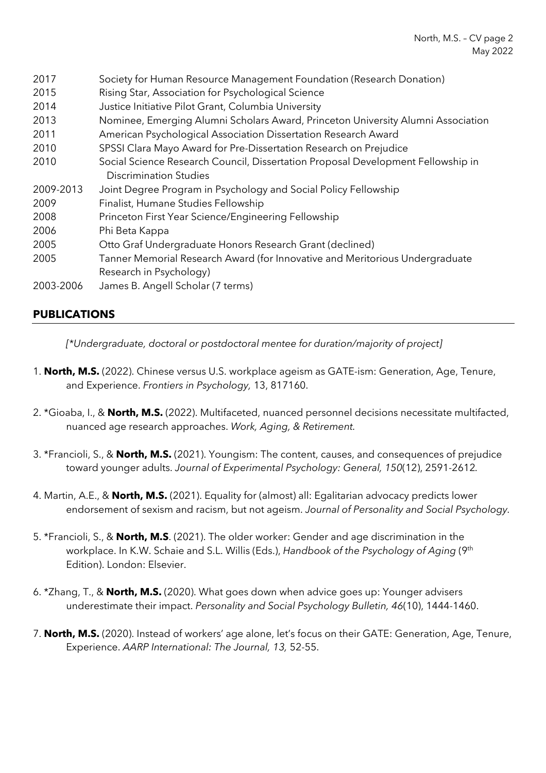- 2017 Society for Human Resource Management Foundation (Research Donation)
- 2015 Rising Star, Association for Psychological Science
- 2014 Justice Initiative Pilot Grant, Columbia University
- 2013 Nominee, Emerging Alumni Scholars Award, Princeton University Alumni Association
- 2011 American Psychological Association Dissertation Research Award
- 2010 SPSSI Clara Mayo Award for Pre-Dissertation Research on Prejudice
- 2010 Social Science Research Council, Dissertation Proposal Development Fellowship in Discrimination Studies
- 2009-2013 Joint Degree Program in Psychology and Social Policy Fellowship
- 2009 Finalist, Humane Studies Fellowship
- 2008 Princeton First Year Science/Engineering Fellowship
- 2006 Phi Beta Kappa
- 2005 Otto Graf Undergraduate Honors Research Grant (declined)
- 2005 Tanner Memorial Research Award (for Innovative and Meritorious Undergraduate Research in Psychology)
- 2003-2006 James B. Angell Scholar (7 terms)

# **PUBLICATIONS**

*[\*Undergraduate, doctoral or postdoctoral mentee for duration/majority of project]*

- 1. **North, M.S.** (2022). Chinese versus U.S. workplace ageism as GATE-ism: Generation, Age, Tenure, and Experience. *Frontiers in Psychology,* 13, 817160.
- 2. \*Gioaba, I., & **North, M.S.** (2022). Multifaceted, nuanced personnel decisions necessitate multifacted, nuanced age research approaches. *Work, Aging, & Retirement.*
- 3. \*Francioli, S., & **North, M.S.** (2021). Youngism: The content, causes, and consequences of prejudice toward younger adults. *Journal of Experimental Psychology: General, 150*(12), 2591-2612*.*
- 4. Martin, A.E., & **North, M.S.** (2021). Equality for (almost) all: Egalitarian advocacy predicts lower endorsement of sexism and racism, but not ageism. *Journal of Personality and Social Psychology.*
- 5. \*Francioli, S., & **North, M.S**. (2021). The older worker: Gender and age discrimination in the workplace. In K.W. Schaie and S.L. Willis (Eds.), *Handbook of the Psychology of Aging* (9<sup>th</sup>) Edition). London: Elsevier.
- 6. \*Zhang, T., & **North, M.S.** (2020). What goes down when advice goes up: Younger advisers underestimate their impact. *Personality and Social Psychology Bulletin, 46*(10), 1444-1460.
- 7. **North, M.S.** (2020). Instead of workers' age alone, let's focus on their GATE: Generation, Age, Tenure, Experience. *AARP International: The Journal, 13,* 52-55.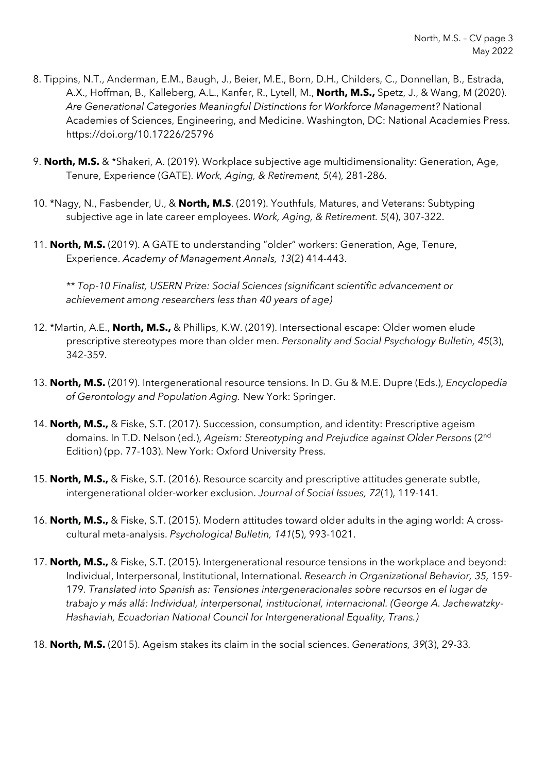- 8. Tippins, N.T., Anderman, E.M., Baugh, J., Beier, M.E., Born, D.H., Childers, C., Donnellan, B., Estrada, A.X., Hoffman, B., Kalleberg, A.L., Kanfer, R., Lytell, M., **North, M.S.,** Spetz, J., & Wang, M (2020). *Are Generational Categories Meaningful Distinctions for Workforce Management?* National Academies of Sciences, Engineering, and Medicine. Washington, DC: National Academies Press. https://doi.org/10.17226/25796
- 9. **North, M.S.** & \*Shakeri, A. (2019). Workplace subjective age multidimensionality: Generation, Age, Tenure, Experience (GATE). *Work, Aging, & Retirement, 5*(4), 281-286.
- 10. \*Nagy, N., Fasbender, U., & **North, M.S**. (2019). Youthfuls, Matures, and Veterans: Subtyping subjective age in late career employees. *Work, Aging, & Retirement. 5*(4), 307-322.
- 11. **North, M.S.** (2019). A GATE to understanding "older" workers: Generation, Age, Tenure, Experience. *Academy of Management Annals, 13*(2) 414-443.

*\*\* Top-10 Finalist, USERN Prize: Social Sciences (significant scientific advancement or achievement among researchers less than 40 years of age)*

- 12. \*Martin, A.E., **North, M.S.,** & Phillips, K.W. (2019). Intersectional escape: Older women elude prescriptive stereotypes more than older men. *Personality and Social Psychology Bulletin, 45*(3), 342-359.
- 13. **North, M.S.** (2019). Intergenerational resource tensions. In D. Gu & M.E. Dupre (Eds.), *Encyclopedia of Gerontology and Population Aging.* New York: Springer.
- 14. **North, M.S.,** & Fiske, S.T. (2017). Succession, consumption, and identity: Prescriptive ageism domains. In T.D. Nelson (ed.), *Ageism: Stereotyping and Prejudice against Older Persons* (2nd Edition) (pp. 77-103). New York: Oxford University Press.
- 15. **North, M.S.,** & Fiske, S.T. (2016). Resource scarcity and prescriptive attitudes generate subtle, intergenerational older-worker exclusion. *Journal of Social Issues, 72*(1), 119-141*.*
- 16. **North, M.S.,** & Fiske, S.T. (2015). Modern attitudes toward older adults in the aging world: A crosscultural meta-analysis. *Psychological Bulletin, 141*(5), 993-1021.
- 17. **North, M.S.,** & Fiske, S.T. (2015). Intergenerational resource tensions in the workplace and beyond: Individual, Interpersonal, Institutional, International. *Research in Organizational Behavior, 35,* 159- 179*. Translated into Spanish as: Tensiones intergeneracionales sobre recursos en el lugar de trabajo y más allá: Individual, interpersonal, institucional, internacional. (George A. Jachewatzky-Hashaviah, Ecuadorian National Council for Intergenerational Equality, Trans.)*
- 18. **North, M.S.** (2015). Ageism stakes its claim in the social sciences. *Generations, 39*(3), 29-33*.*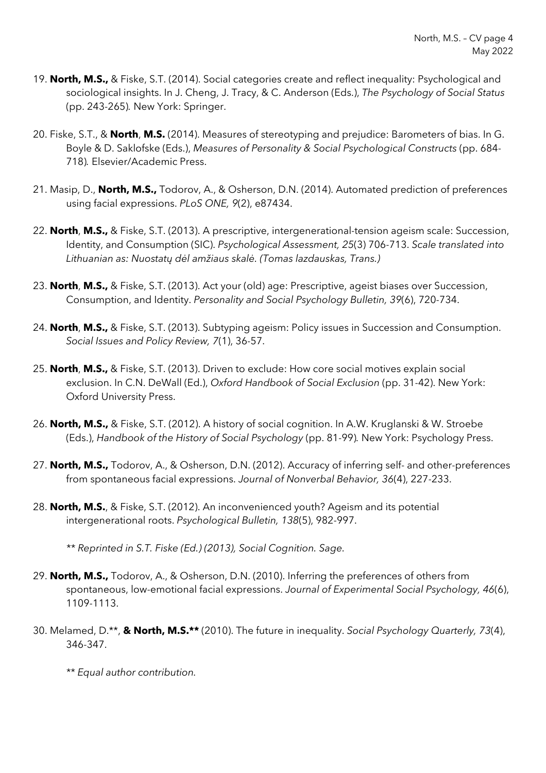- 19. **North, M.S.,** & Fiske, S.T. (2014). Social categories create and reflect inequality: Psychological and sociological insights. In J. Cheng, J. Tracy, & C. Anderson (Eds.), *The Psychology of Social Status*  (pp. 243-265)*.* New York: Springer.
- 20. Fiske, S.T., & **North**, **M.S.** (2014). Measures of stereotyping and prejudice: Barometers of bias. In G. Boyle & D. Saklofske (Eds.), *Measures of Personality & Social Psychological Constructs* (pp. 684- 718)*.* Elsevier/Academic Press.
- 21. Masip, D., **North, M.S.,** Todorov, A., & Osherson, D.N. (2014). Automated prediction of preferences using facial expressions. *PLoS ONE, 9*(2), e87434.
- 22. **North**, **M.S.,** & Fiske, S.T. (2013). A prescriptive, intergenerational-tension ageism scale: Succession, Identity, and Consumption (SIC). *Psychological Assessment, 25*(3) 706-713. *Scale translated into Lithuanian as: Nuostatų dėl amžiaus skalė. (Tomas lazdauskas, Trans.)*
- 23. **North**, **M.S.,** & Fiske, S.T. (2013). Act your (old) age: Prescriptive, ageist biases over Succession, Consumption, and Identity. *Personality and Social Psychology Bulletin, 39*(6), 720-734.
- 24. **North**, **M.S.,** & Fiske, S.T. (2013). Subtyping ageism: Policy issues in Succession and Consumption. *Social Issues and Policy Review, 7*(1), 36-57.
- 25. **North**, **M.S.,** & Fiske, S.T. (2013). Driven to exclude: How core social motives explain social exclusion. In C.N. DeWall (Ed.), *Oxford Handbook of Social Exclusion* (pp. 31-42). New York: Oxford University Press.
- 26. **North, M.S.,** & Fiske, S.T. (2012). A history of social cognition. In A.W. Kruglanski & W. Stroebe (Eds.), *Handbook of the History of Social Psychology* (pp. 81-99)*.* New York: Psychology Press.
- 27. **North, M.S.,** Todorov, A., & Osherson, D.N. (2012). Accuracy of inferring self- and other-preferences from spontaneous facial expressions. *Journal of Nonverbal Behavior, 36*(4), 227-233.
- 28. **North, M.S.**, & Fiske, S.T. (2012). An inconvenienced youth? Ageism and its potential intergenerational roots. *Psychological Bulletin, 138*(5), 982-997.
	- *\*\* Reprinted in S.T. Fiske (Ed.) (2013), Social Cognition. Sage.*
- 29. **North, M.S.,** Todorov, A., & Osherson, D.N. (2010). Inferring the preferences of others from spontaneous, low-emotional facial expressions. *Journal of Experimental Social Psychology, 46*(6), 1109-1113.
- 30. Melamed, D.\*\*, **& North, M.S.\*\*** (2010). The future in inequality. *Social Psychology Quarterly, 73*(4), 346-347.
	- *\*\* Equal author contribution.*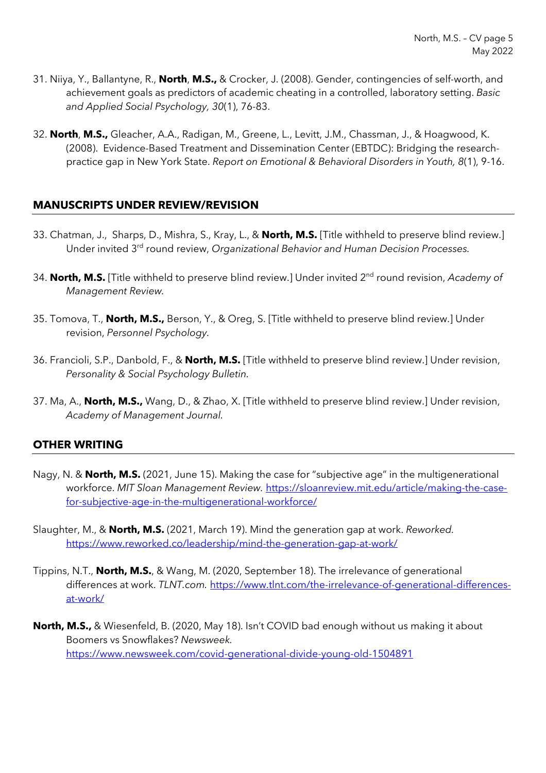- 31. Niiya, Y., Ballantyne, R., **North**, **M.S.,** & Crocker, J. (2008). Gender, contingencies of self-worth, and achievement goals as predictors of academic cheating in a controlled, laboratory setting. *Basic and Applied Social Psychology, 30*(1), 76-83.
- 32. **North**, **M.S.,** Gleacher, A.A., Radigan, M., Greene, L., Levitt, J.M., Chassman, J., & Hoagwood, K. (2008). Evidence-Based Treatment and Dissemination Center (EBTDC): Bridging the researchpractice gap in New York State. *Report on Emotional & Behavioral Disorders in Youth, 8*(1), 9-16.

## **MANUSCRIPTS UNDER REVIEW/REVISION**

- 33. Chatman, J., Sharps, D., Mishra, S., Kray, L., & **North, M.S.** [Title withheld to preserve blind review.] Under invited 3rd round review, *Organizational Behavior and Human Decision Processes.*
- 34. **North, M.S.** [Title withheld to preserve blind review.] Under invited 2nd round revision, *Academy of Management Review.*
- 35. Tomova, T., **North, M.S.,** Berson, Y., & Oreg, S. [Title withheld to preserve blind review.] Under revision, *Personnel Psychology.*
- 36. Francioli, S.P., Danbold, F., & **North, M.S.** [Title withheld to preserve blind review.] Under revision, *Personality & Social Psychology Bulletin.*
- 37. Ma, A., **North, M.S.,** Wang, D., & Zhao, X. [Title withheld to preserve blind review.] Under revision, *Academy of Management Journal.*

### **OTHER WRITING**

- Nagy, N. & **North, M.S.** (2021, June 15). Making the case for "subjective age" in the multigenerational workforce. *MIT Sloan Management Review.* https://sloanreview.mit.edu/article/making-the-casefor-subjective-age-in-the-multigenerational-workforce/
- Slaughter, M., & **North, M.S.** (2021, March 19). Mind the generation gap at work. *Reworked.*  https://www.reworked.co/leadership/mind-the-generation-gap-at-work/
- Tippins, N.T., **North, M.S.**, & Wang, M. (2020, September 18). The irrelevance of generational differences at work. *TLNT.com.* https://www.tlnt.com/the-irrelevance-of-generational-differencesat-work/
- **North, M.S.,** & Wiesenfeld, B. (2020, May 18). Isn't COVID bad enough without us making it about Boomers vs Snowflakes? *Newsweek.*  https://www.newsweek.com/covid-generational-divide-young-old-1504891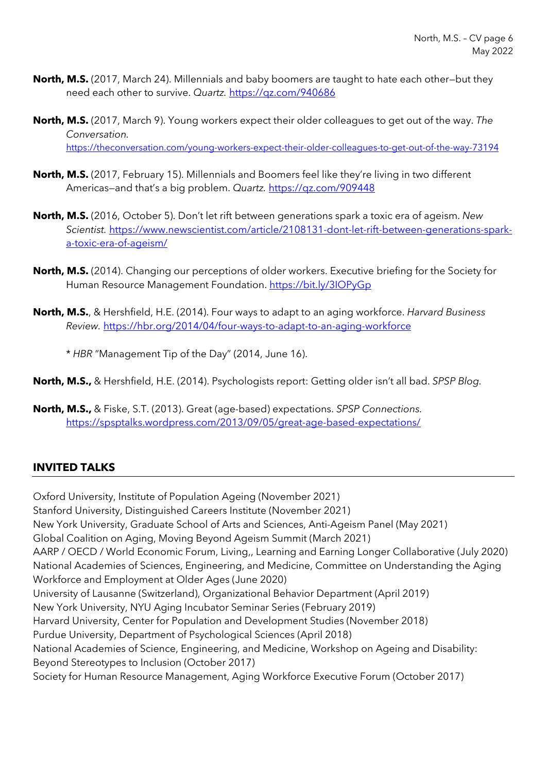- **North, M.S.** (2017, March 24). Millennials and baby boomers are taught to hate each other—but they need each other to survive. *Quartz.* https://qz.com/940686
- **North, M.S.** (2017, March 9). Young workers expect their older colleagues to get out of the way. *The Conversation.* https://theconversation.com/young-workers-expect-their-older-colleagues-to-get-out-of-the-way-73194
- **North, M.S.** (2017, February 15). Millennials and Boomers feel like they're living in two different Americas—and that's a big problem. *Quartz.* https://qz.com/909448
- **North, M.S.** (2016, October 5). Don't let rift between generations spark a toxic era of ageism. *New Scientist.* https://www.newscientist.com/article/2108131-dont-let-rift-between-generations-sparka-toxic-era-of-ageism/
- **North, M.S.** (2014). Changing our perceptions of older workers. Executive briefing for the Society for Human Resource Management Foundation. https://bit.ly/3IOPyGp
- **North, M.S.**, & Hershfield, H.E. (2014). Four ways to adapt to an aging workforce. *Harvard Business Review.* https://hbr.org/2014/04/four-ways-to-adapt-to-an-aging-workforce

\* *HBR* "Management Tip of the Day" (2014, June 16).

**North, M.S.,** & Hershfield, H.E. (2014). Psychologists report: Getting older isn't all bad. *SPSP Blog.* 

**North, M.S.,** & Fiske, S.T. (2013). Great (age-based) expectations. *SPSP Connections.* https://spsptalks.wordpress.com/2013/09/05/great-age-based-expectations/

## **INVITED TALKS**

Oxford University, Institute of Population Ageing (November 2021) Stanford University, Distinguished Careers Institute (November 2021) New York University, Graduate School of Arts and Sciences, Anti-Ageism Panel (May 2021) Global Coalition on Aging, Moving Beyond Ageism Summit (March 2021) AARP / OECD / World Economic Forum, Living,, Learning and Earning Longer Collaborative (July 2020) National Academies of Sciences, Engineering, and Medicine, Committee on Understanding the Aging Workforce and Employment at Older Ages (June 2020) University of Lausanne (Switzerland), Organizational Behavior Department (April 2019) New York University, NYU Aging Incubator Seminar Series (February 2019) Harvard University, Center for Population and Development Studies (November 2018) Purdue University, Department of Psychological Sciences (April 2018) National Academies of Science, Engineering, and Medicine, Workshop on Ageing and Disability: Beyond Stereotypes to Inclusion (October 2017) Society for Human Resource Management, Aging Workforce Executive Forum (October 2017)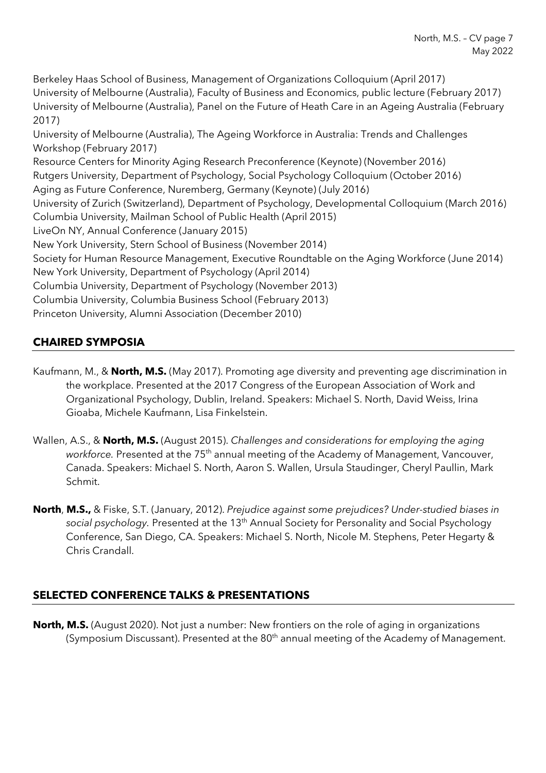Berkeley Haas School of Business, Management of Organizations Colloquium (April 2017) University of Melbourne (Australia), Faculty of Business and Economics, public lecture (February 2017) University of Melbourne (Australia), Panel on the Future of Heath Care in an Ageing Australia (February 2017) University of Melbourne (Australia), The Ageing Workforce in Australia: Trends and Challenges Workshop (February 2017) Resource Centers for Minority Aging Research Preconference (Keynote) (November 2016) Rutgers University, Department of Psychology, Social Psychology Colloquium (October 2016) Aging as Future Conference, Nuremberg, Germany (Keynote) (July 2016) University of Zurich (Switzerland), Department of Psychology, Developmental Colloquium (March 2016) Columbia University, Mailman School of Public Health (April 2015) LiveOn NY, Annual Conference (January 2015) New York University, Stern School of Business (November 2014)

- Society for Human Resource Management, Executive Roundtable on the Aging Workforce (June 2014) New York University, Department of Psychology (April 2014)
- Columbia University, Department of Psychology (November 2013)
- Columbia University, Columbia Business School (February 2013)

Princeton University, Alumni Association (December 2010)

# **CHAIRED SYMPOSIA**

- Kaufmann, M., & **North, M.S.** (May 2017). Promoting age diversity and preventing age discrimination in the workplace. Presented at the 2017 Congress of the European Association of Work and Organizational Psychology, Dublin, Ireland. Speakers: Michael S. North, David Weiss, Irina Gioaba, Michele Kaufmann, Lisa Finkelstein.
- Wallen, A.S., & **North, M.S.** (August 2015). *Challenges and considerations for employing the aging workforce.* Presented at the 75<sup>th</sup> annual meeting of the Academy of Management, Vancouver, Canada. Speakers: Michael S. North, Aaron S. Wallen, Ursula Staudinger, Cheryl Paullin, Mark Schmit.
- **North**, **M.S.,** & Fiske, S.T. (January, 2012). *Prejudice against some prejudices? Under-studied biases in social psychology.* Presented at the 13th Annual Society for Personality and Social Psychology Conference, San Diego, CA. Speakers: Michael S. North, Nicole M. Stephens, Peter Hegarty & Chris Crandall.

# **SELECTED CONFERENCE TALKS & PRESENTATIONS**

**North, M.S.** (August 2020). Not just a number: New frontiers on the role of aging in organizations (Symposium Discussant). Presented at the 80<sup>th</sup> annual meeting of the Academy of Management.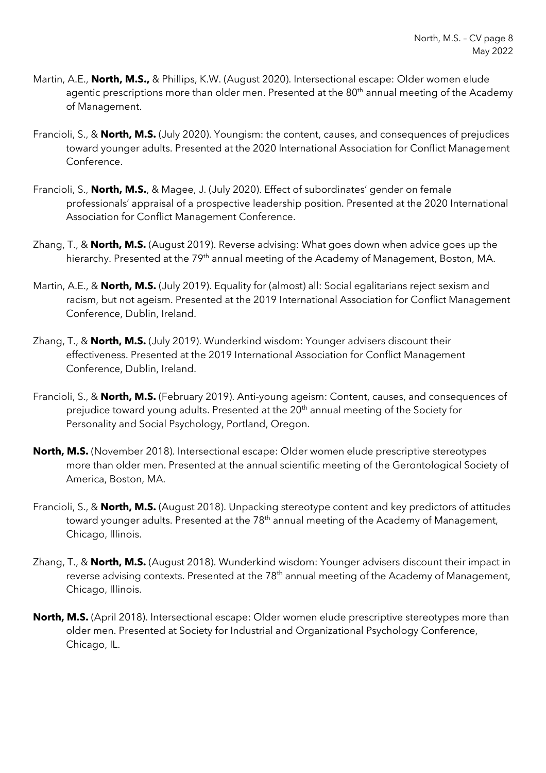- Martin, A.E., **North, M.S.,** & Phillips, K.W. (August 2020). Intersectional escape: Older women elude agentic prescriptions more than older men. Presented at the 80<sup>th</sup> annual meeting of the Academy of Management.
- Francioli, S., & **North, M.S.** (July 2020). Youngism: the content, causes, and consequences of prejudices toward younger adults. Presented at the 2020 International Association for Conflict Management Conference.
- Francioli, S., **North, M.S.**, & Magee, J. (July 2020). Effect of subordinates' gender on female professionals' appraisal of a prospective leadership position. Presented at the 2020 International Association for Conflict Management Conference.
- Zhang, T., & **North, M.S.** (August 2019). Reverse advising: What goes down when advice goes up the hierarchy. Presented at the 79<sup>th</sup> annual meeting of the Academy of Management, Boston, MA.
- Martin, A.E., & **North, M.S.** (July 2019). Equality for (almost) all: Social egalitarians reject sexism and racism, but not ageism. Presented at the 2019 International Association for Conflict Management Conference, Dublin, Ireland.
- Zhang, T., & **North, M.S.** (July 2019). Wunderkind wisdom: Younger advisers discount their effectiveness. Presented at the 2019 International Association for Conflict Management Conference, Dublin, Ireland.
- Francioli, S., & **North, M.S.** (February 2019). Anti-young ageism: Content, causes, and consequences of prejudice toward young adults. Presented at the 20<sup>th</sup> annual meeting of the Society for Personality and Social Psychology, Portland, Oregon.
- **North, M.S.** (November 2018). Intersectional escape: Older women elude prescriptive stereotypes more than older men. Presented at the annual scientific meeting of the Gerontological Society of America, Boston, MA.
- Francioli, S., & **North, M.S.** (August 2018). Unpacking stereotype content and key predictors of attitudes toward younger adults. Presented at the 78<sup>th</sup> annual meeting of the Academy of Management, Chicago, Illinois.
- Zhang, T., & **North, M.S.** (August 2018). Wunderkind wisdom: Younger advisers discount their impact in reverse advising contexts. Presented at the 78<sup>th</sup> annual meeting of the Academy of Management, Chicago, Illinois.
- **North, M.S.** (April 2018). Intersectional escape: Older women elude prescriptive stereotypes more than older men. Presented at Society for Industrial and Organizational Psychology Conference, Chicago, IL.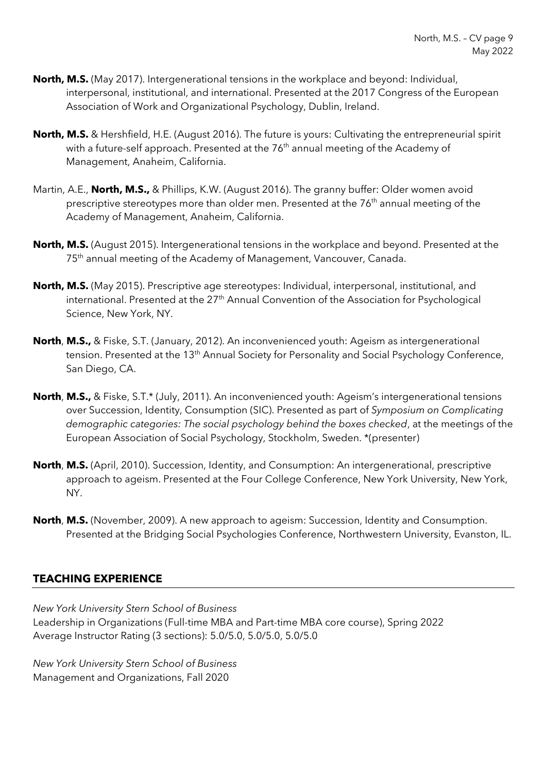- **North, M.S.** (May 2017). Intergenerational tensions in the workplace and beyond: Individual, interpersonal, institutional, and international. Presented at the 2017 Congress of the European Association of Work and Organizational Psychology, Dublin, Ireland.
- **North, M.S.** & Hershfield, H.E. (August 2016). The future is yours: Cultivating the entrepreneurial spirit with a future-self approach. Presented at the 76<sup>th</sup> annual meeting of the Academy of Management, Anaheim, California.
- Martin, A.E., **North, M.S.,** & Phillips, K.W. (August 2016). The granny buffer: Older women avoid prescriptive stereotypes more than older men. Presented at the 76<sup>th</sup> annual meeting of the Academy of Management, Anaheim, California.
- **North, M.S.** (August 2015). Intergenerational tensions in the workplace and beyond. Presented at the 75<sup>th</sup> annual meeting of the Academy of Management, Vancouver, Canada.
- **North, M.S.** (May 2015). Prescriptive age stereotypes: Individual, interpersonal, institutional, and international. Presented at the 27<sup>th</sup> Annual Convention of the Association for Psychological Science, New York, NY.
- **North**, **M.S.,** & Fiske, S.T. (January, 2012). An inconvenienced youth: Ageism as intergenerational tension. Presented at the 13<sup>th</sup> Annual Society for Personality and Social Psychology Conference, San Diego, CA.
- **North**, **M.S.,** & Fiske, S.T.\* (July, 2011). An inconvenienced youth: Ageism's intergenerational tensions over Succession, Identity, Consumption (SIC). Presented as part of *Symposium on Complicating demographic categories: The social psychology behind the boxes checked*, at the meetings of the European Association of Social Psychology, Stockholm, Sweden. \*(presenter)
- **North**, **M.S.** (April, 2010). Succession, Identity, and Consumption: An intergenerational, prescriptive approach to ageism. Presented at the Four College Conference, New York University, New York, NY.
- **North**, **M.S.** (November, 2009). A new approach to ageism: Succession, Identity and Consumption. Presented at the Bridging Social Psychologies Conference, Northwestern University, Evanston, IL.

## **TEACHING EXPERIENCE**

*New York University Stern School of Business* Leadership in Organizations (Full-time MBA and Part-time MBA core course), Spring 2022 Average Instructor Rating (3 sections): 5.0/5.0, 5.0/5.0, 5.0/5.0

*New York University Stern School of Business* Management and Organizations, Fall 2020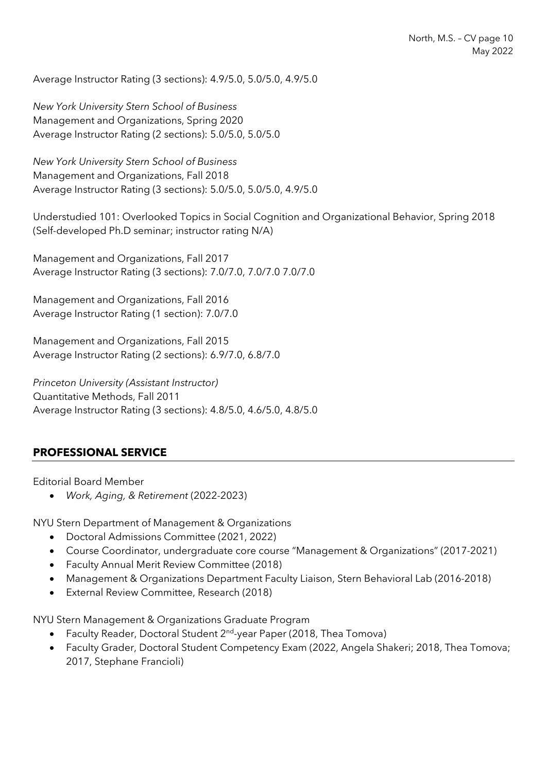Average Instructor Rating (3 sections): 4.9/5.0, 5.0/5.0, 4.9/5.0

*New York University Stern School of Business* Management and Organizations, Spring 2020 Average Instructor Rating (2 sections): 5.0/5.0, 5.0/5.0

*New York University Stern School of Business* Management and Organizations, Fall 2018 Average Instructor Rating (3 sections): 5.0/5.0, 5.0/5.0, 4.9/5.0

Understudied 101: Overlooked Topics in Social Cognition and Organizational Behavior, Spring 2018 (Self-developed Ph.D seminar; instructor rating N/A)

Management and Organizations, Fall 2017 Average Instructor Rating (3 sections): 7.0/7.0, 7.0/7.0 7.0/7.0

Management and Organizations, Fall 2016 Average Instructor Rating (1 section): 7.0/7.0

Management and Organizations, Fall 2015 Average Instructor Rating (2 sections): 6.9/7.0, 6.8/7.0

*Princeton University (Assistant Instructor)* Quantitative Methods, Fall 2011 Average Instructor Rating (3 sections): 4.8/5.0, 4.6/5.0, 4.8/5.0

## **PROFESSIONAL SERVICE**

Editorial Board Member

• *Work, Aging, & Retirement* (2022-2023)

NYU Stern Department of Management & Organizations

- Doctoral Admissions Committee (2021, 2022)
- Course Coordinator, undergraduate core course "Management & Organizations" (2017-2021)
- Faculty Annual Merit Review Committee (2018)
- Management & Organizations Department Faculty Liaison, Stern Behavioral Lab (2016-2018)
- External Review Committee, Research (2018)

NYU Stern Management & Organizations Graduate Program

- Faculty Reader, Doctoral Student 2<sup>nd</sup>-year Paper (2018, Thea Tomova)
- Faculty Grader, Doctoral Student Competency Exam (2022, Angela Shakeri; 2018, Thea Tomova; 2017, Stephane Francioli)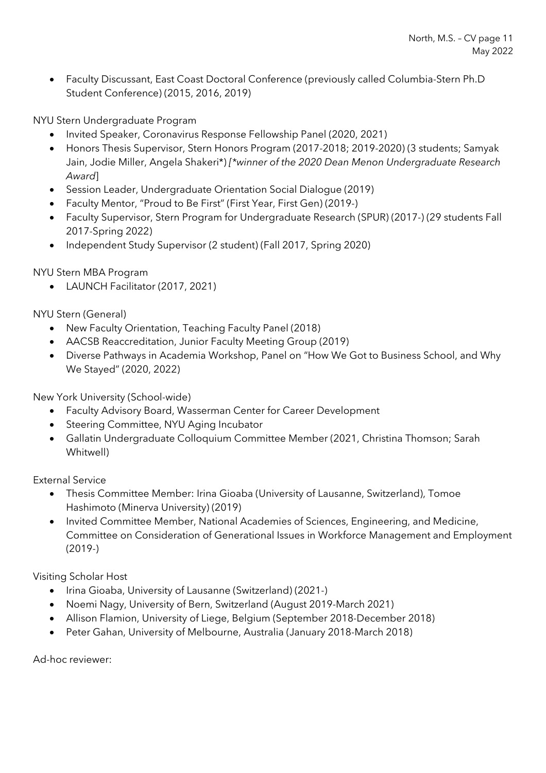• Faculty Discussant, East Coast Doctoral Conference (previously called Columbia-Stern Ph.D Student Conference) (2015, 2016, 2019)

NYU Stern Undergraduate Program

- Invited Speaker, Coronavirus Response Fellowship Panel (2020, 2021)
- Honors Thesis Supervisor, Stern Honors Program (2017-2018; 2019-2020) (3 students; Samyak Jain, Jodie Miller, Angela Shakeri\*) *[\*winner of the 2020 Dean Menon Undergraduate Research Award*]
- Session Leader, Undergraduate Orientation Social Dialogue (2019)
- Faculty Mentor, "Proud to Be First" (First Year, First Gen) (2019-)
- Faculty Supervisor, Stern Program for Undergraduate Research (SPUR) (2017-) (29 students Fall 2017-Spring 2022)
- Independent Study Supervisor (2 student) (Fall 2017, Spring 2020)

NYU Stern MBA Program

• LAUNCH Facilitator (2017, 2021)

NYU Stern (General)

- New Faculty Orientation, Teaching Faculty Panel (2018)
- AACSB Reaccreditation, Junior Faculty Meeting Group (2019)
- Diverse Pathways in Academia Workshop, Panel on "How We Got to Business School, and Why We Stayed" (2020, 2022)

New York University (School-wide)

- Faculty Advisory Board, Wasserman Center for Career Development
- Steering Committee, NYU Aging Incubator
- Gallatin Undergraduate Colloquium Committee Member (2021, Christina Thomson; Sarah Whitwell)

External Service

- Thesis Committee Member: Irina Gioaba (University of Lausanne, Switzerland), Tomoe Hashimoto (Minerva University) (2019)
- Invited Committee Member, National Academies of Sciences, Engineering, and Medicine, Committee on Consideration of Generational Issues in Workforce Management and Employment (2019-)

Visiting Scholar Host

- Irina Gioaba, University of Lausanne (Switzerland) (2021-)
- Noemi Nagy, University of Bern, Switzerland (August 2019-March 2021)
- Allison Flamion, University of Liege, Belgium (September 2018-December 2018)
- Peter Gahan, University of Melbourne, Australia (January 2018-March 2018)

Ad-hoc reviewer: